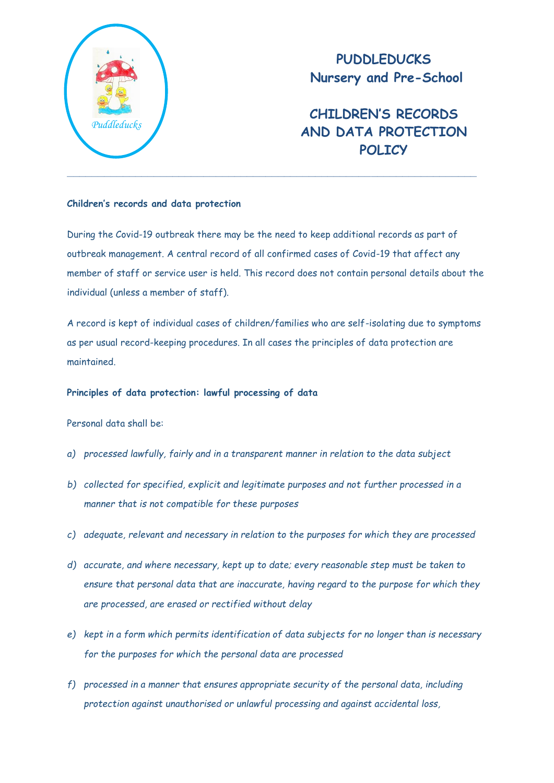

**PUDDLEDUCKS Nursery and Pre-School**

**CHILDREN'S RECORDS AND DATA PROTECTION POLICY**

### **Children's records and data protection**

During the Covid-19 outbreak there may be the need to keep additional records as part of outbreak management. A central record of all confirmed cases of Covid-19 that affect any member of staff or service user is held. This record does not contain personal details about the individual (unless a member of staff).

A record is kept of individual cases of children/families who are self-isolating due to symptoms as per usual record-keeping procedures. In all cases the principles of data protection are maintained.

#### **Principles of data protection: lawful processing of data**

Personal data shall be:

- *a) processed lawfully, fairly and in a transparent manner in relation to the data subject*
- *b) collected for specified, explicit and legitimate purposes and not further processed in a manner that is not compatible for these purposes*
- *c) adequate, relevant and necessary in relation to the purposes for which they are processed*
- *d) accurate, and where necessary, kept up to date; every reasonable step must be taken to ensure that personal data that are inaccurate, having regard to the purpose for which they are processed, are erased or rectified without delay*
- *e) kept in a form which permits identification of data subjects for no longer than is necessary for the purposes for which the personal data are processed*
- *f) processed in a manner that ensures appropriate security of the personal data, including protection against unauthorised or unlawful processing and against accidental loss,*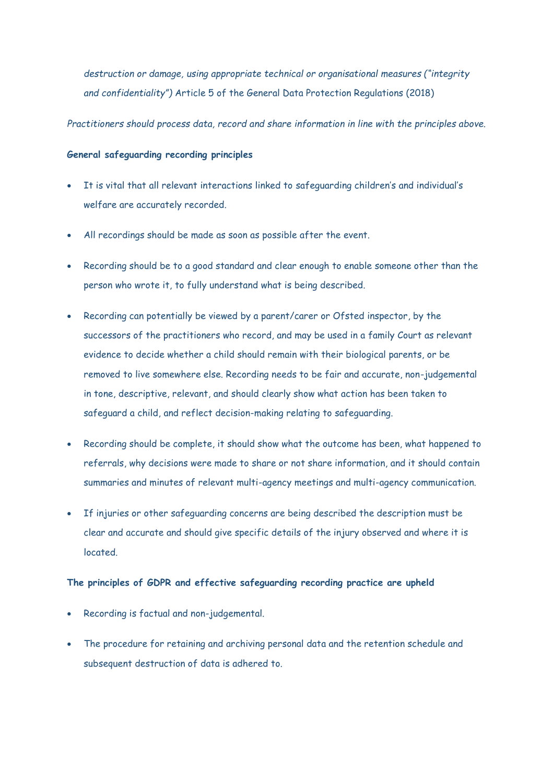*destruction or damage, using appropriate technical or organisational measures ("integrity and confidentiality")* Article 5 of the General Data Protection Regulations (2018)

*Practitioners should process data, record and share information in line with the principles above.*

# **General safeguarding recording principles**

- It is vital that all relevant interactions linked to safeguarding children's and individual's welfare are accurately recorded.
- All recordings should be made as soon as possible after the event.
- Recording should be to a good standard and clear enough to enable someone other than the person who wrote it, to fully understand what is being described.
- Recording can potentially be viewed by a parent/carer or Ofsted inspector, by the successors of the practitioners who record, and may be used in a family Court as relevant evidence to decide whether a child should remain with their biological parents, or be removed to live somewhere else. Recording needs to be fair and accurate, non-judgemental in tone, descriptive, relevant, and should clearly show what action has been taken to safeguard a child, and reflect decision-making relating to safeguarding.
- Recording should be complete, it should show what the outcome has been, what happened to referrals, why decisions were made to share or not share information, and it should contain summaries and minutes of relevant multi-agency meetings and multi-agency communication.
- If injuries or other safeguarding concerns are being described the description must be clear and accurate and should give specific details of the injury observed and where it is located.

# **The principles of GDPR and effective safeguarding recording practice are upheld**

- Recording is factual and non-judgemental.
- The procedure for retaining and archiving personal data and the retention schedule and subsequent destruction of data is adhered to.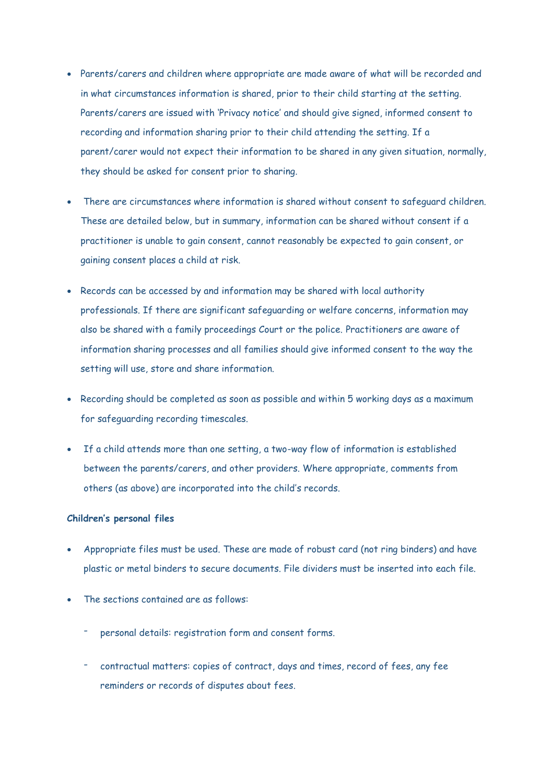- Parents/carers and children where appropriate are made aware of what will be recorded and in what circumstances information is shared, prior to their child starting at the setting. Parents/carers are issued with 'Privacy notice' and should give signed, informed consent to recording and information sharing prior to their child attending the setting. If a parent/carer would not expect their information to be shared in any given situation, normally, they should be asked for consent prior to sharing.
- There are circumstances where information is shared without consent to safeguard children. These are detailed below, but in summary, information can be shared without consent if a practitioner is unable to gain consent, cannot reasonably be expected to gain consent, or gaining consent places a child at risk.
- Records can be accessed by and information may be shared with local authority professionals. If there are significant safeguarding or welfare concerns, information may also be shared with a family proceedings Court or the police. Practitioners are aware of information sharing processes and all families should give informed consent to the way the setting will use, store and share information.
- Recording should be completed as soon as possible and within 5 working days as a maximum for safeguarding recording timescales.
- If a child attends more than one setting, a two-way flow of information is established between the parents/carers, and other providers. Where appropriate, comments from others (as above) are incorporated into the child's records.

### **Children's personal files**

- Appropriate files must be used. These are made of robust card (not ring binders) and have plastic or metal binders to secure documents. File dividers must be inserted into each file.
- The sections contained are as follows:
	- personal details: registration form and consent forms.
	- contractual matters: copies of contract, days and times, record of fees, any fee reminders or records of disputes about fees.